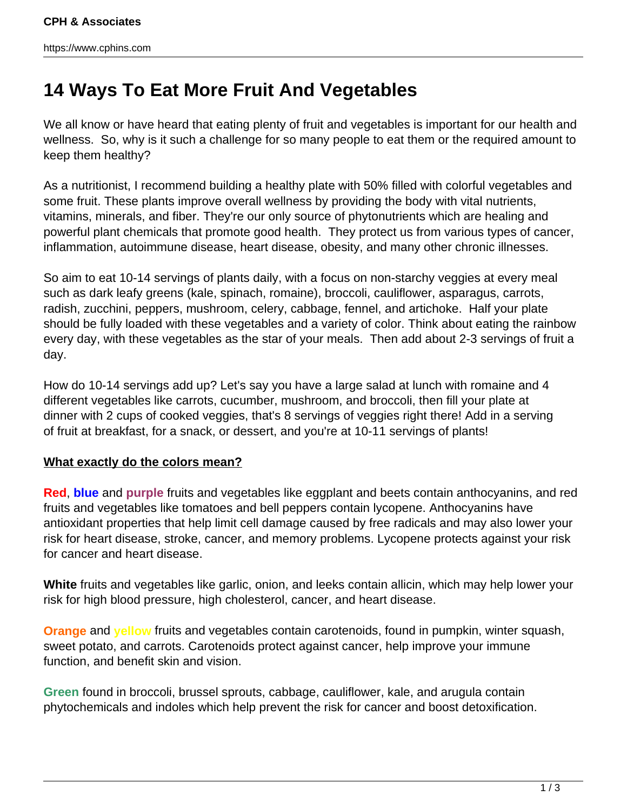https://www.cphins.com

## **14 Ways To Eat More Fruit And Vegetables**

We all know or have heard that eating plenty of fruit and vegetables is important for our health and wellness. So, why is it such a challenge for so many people to eat them or the required amount to keep them healthy?

As a nutritionist, I recommend building a healthy plate with 50% filled with colorful vegetables and some fruit. These plants improve overall wellness by providing the body with vital nutrients, vitamins, minerals, and fiber. They're our only source of phytonutrients which are healing and powerful plant chemicals that promote good health. They protect us from various types of cancer, inflammation, autoimmune disease, heart disease, obesity, and many other chronic illnesses.

So aim to eat 10-14 servings of plants daily, with a focus on non-starchy veggies at every meal such as dark leafy greens (kale, spinach, romaine), broccoli, cauliflower, asparagus, carrots, radish, zucchini, peppers, mushroom, celery, cabbage, fennel, and artichoke. Half your plate should be fully loaded with these vegetables and a variety of color. Think about eating the rainbow every day, with these vegetables as the star of your meals. Then add about 2-3 servings of fruit a day.

How do 10-14 servings add up? Let's say you have a large salad at lunch with romaine and 4 different vegetables like carrots, cucumber, mushroom, and broccoli, then fill your plate at dinner with 2 cups of cooked veggies, that's 8 servings of veggies right there! Add in a serving of fruit at breakfast, for a snack, or dessert, and you're at 10-11 servings of plants!

## **What exactly do the colors mean?**

**Red**, **blue** and **purple** fruits and vegetables like eggplant and beets contain anthocyanins, and red fruits and vegetables like tomatoes and bell peppers contain lycopene. Anthocyanins have antioxidant properties that help limit cell damage caused by free radicals and may also lower your risk for heart disease, stroke, cancer, and memory problems. Lycopene protects against your risk for cancer and heart disease.

**White** fruits and vegetables like garlic, onion, and leeks contain allicin, which may help lower your risk for high blood pressure, high cholesterol, cancer, and heart disease.

**Orange** and **yellow** fruits and vegetables contain carotenoids, found in pumpkin, winter squash, sweet potato, and carrots. Carotenoids protect against cancer, help improve your immune function, and benefit skin and vision.

**Green** found in broccoli, brussel sprouts, cabbage, cauliflower, kale, and arugula contain phytochemicals and indoles which help prevent the risk for cancer and boost detoxification.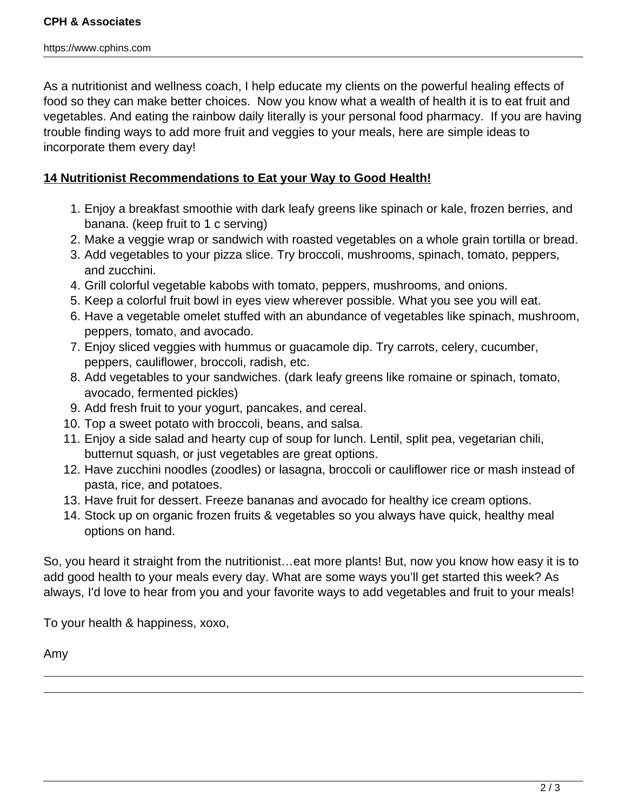As a nutritionist and wellness coach, I help educate my clients on the powerful healing effects of food so they can make better choices. Now you know what a wealth of health it is to eat fruit and vegetables. And eating the rainbow daily literally is your personal food pharmacy. If you are having trouble finding ways to add more fruit and veggies to your meals, here are simple ideas to incorporate them every day!

## **14 Nutritionist Recommendations to Eat your Way to Good Health!**

- 1. Enjoy a breakfast smoothie with dark leafy greens like spinach or kale, frozen berries, and banana. (keep fruit to 1 c serving)
- 2. Make a veggie wrap or sandwich with roasted vegetables on a whole grain tortilla or bread.
- 3. Add vegetables to your pizza slice. Try broccoli, mushrooms, spinach, tomato, peppers, and zucchini.
- 4. Grill colorful vegetable kabobs with tomato, peppers, mushrooms, and onions.
- 5. Keep a colorful fruit bowl in eyes view wherever possible. What you see you will eat.
- 6. Have a vegetable omelet stuffed with an abundance of vegetables like spinach, mushroom, peppers, tomato, and avocado.
- 7. Enjoy sliced veggies with hummus or guacamole dip. Try carrots, celery, cucumber, peppers, cauliflower, broccoli, radish, etc.
- 8. Add vegetables to your sandwiches. (dark leafy greens like romaine or spinach, tomato, avocado, fermented pickles)
- 9. Add fresh fruit to your yogurt, pancakes, and cereal.
- 10. Top a sweet potato with broccoli, beans, and salsa.
- 11. Enjoy a side salad and hearty cup of soup for lunch. Lentil, split pea, vegetarian chili, butternut squash, or just vegetables are great options.
- 12. Have zucchini noodles (zoodles) or lasagna, broccoli or cauliflower rice or mash instead of pasta, rice, and potatoes.
- 13. Have fruit for dessert. Freeze bananas and avocado for healthy ice cream options.
- 14. Stock up on organic frozen fruits & vegetables so you always have quick, healthy meal options on hand.

So, you heard it straight from the nutritionist…eat more plants! But, now you know how easy it is to add good health to your meals every day. What are some ways you'll get started this week? As always, I'd love to hear from you and your favorite ways to add vegetables and fruit to your meals!

To your health & happiness, xoxo,

Amy